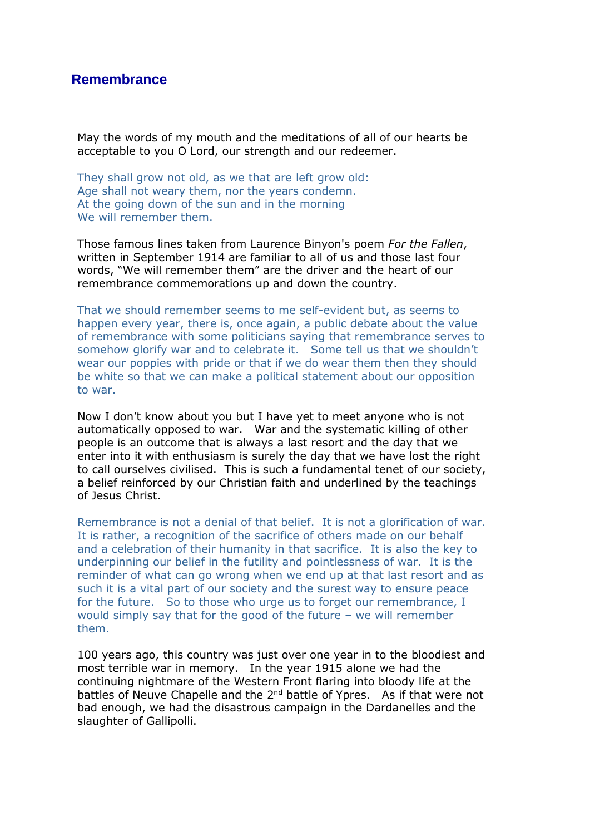## **Remembrance**

May the words of my mouth and the meditations of all of our hearts be acceptable to you O Lord, our strength and our redeemer.

They shall grow not old, as we that are left grow old: Age shall not weary them, nor the years condemn. At the going down of the sun and in the morning We will remember them.

Those famous lines taken from Laurence Binyon's poem *For the Fallen*, written in September 1914 are familiar to all of us and those last four words, "We will remember them" are the driver and the heart of our remembrance commemorations up and down the country.

That we should remember seems to me self-evident but, as seems to happen every year, there is, once again, a public debate about the value of remembrance with some politicians saying that remembrance serves to somehow glorify war and to celebrate it. Some tell us that we shouldn't wear our poppies with pride or that if we do wear them then they should be white so that we can make a political statement about our opposition to war.

Now I don't know about you but I have yet to meet anyone who is not automatically opposed to war. War and the systematic killing of other people is an outcome that is always a last resort and the day that we enter into it with enthusiasm is surely the day that we have lost the right to call ourselves civilised. This is such a fundamental tenet of our society, a belief reinforced by our Christian faith and underlined by the teachings of Jesus Christ.

Remembrance is not a denial of that belief. It is not a glorification of war. It is rather, a recognition of the sacrifice of others made on our behalf and a celebration of their humanity in that sacrifice. It is also the key to underpinning our belief in the futility and pointlessness of war. It is the reminder of what can go wrong when we end up at that last resort and as such it is a vital part of our society and the surest way to ensure peace for the future. So to those who urge us to forget our remembrance, I would simply say that for the good of the future – we will remember them.

100 years ago, this country was just over one year in to the bloodiest and most terrible war in memory. In the year 1915 alone we had the continuing nightmare of the Western Front flaring into bloody life at the battles of Neuve Chapelle and the 2<sup>nd</sup> battle of Ypres. As if that were not bad enough, we had the disastrous campaign in the Dardanelles and the slaughter of Gallipolli.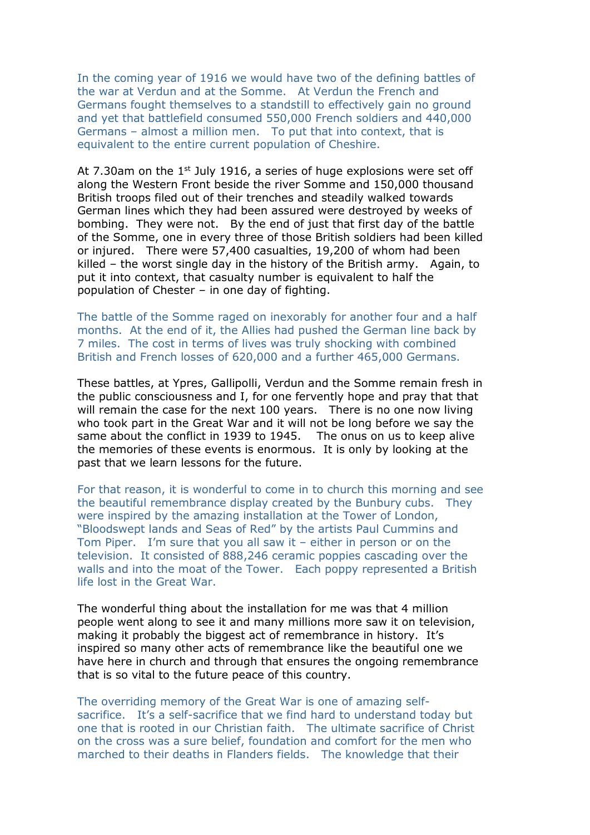In the coming year of 1916 we would have two of the defining battles of the war at Verdun and at the Somme. At Verdun the French and Germans fought themselves to a standstill to effectively gain no ground and yet that battlefield consumed 550,000 French soldiers and 440,000 Germans – almost a million men. To put that into context, that is equivalent to the entire current population of Cheshire.

At 7.30am on the 1<sup>st</sup> July 1916, a series of huge explosions were set off along the Western Front beside the river Somme and 150,000 thousand British troops filed out of their trenches and steadily walked towards German lines which they had been assured were destroyed by weeks of bombing. They were not. By the end of just that first day of the battle of the Somme, one in every three of those British soldiers had been killed or injured. There were 57,400 casualties, 19,200 of whom had been killed – the worst single day in the history of the British army. Again, to put it into context, that casualty number is equivalent to half the population of Chester – in one day of fighting.

The battle of the Somme raged on inexorably for another four and a half months. At the end of it, the Allies had pushed the German line back by 7 miles. The cost in terms of lives was truly shocking with combined British and French losses of 620,000 and a further 465,000 Germans.

These battles, at Ypres, Gallipolli, Verdun and the Somme remain fresh in the public consciousness and I, for one fervently hope and pray that that will remain the case for the next 100 years. There is no one now living who took part in the Great War and it will not be long before we say the same about the conflict in 1939 to 1945. The onus on us to keep alive the memories of these events is enormous. It is only by looking at the past that we learn lessons for the future.

For that reason, it is wonderful to come in to church this morning and see the beautiful remembrance display created by the Bunbury cubs. They were inspired by the amazing installation at the Tower of London, "Bloodswept lands and Seas of Red" by the artists Paul Cummins and Tom Piper. I'm sure that you all saw it – either in person or on the television. It consisted of 888,246 ceramic poppies cascading over the walls and into the moat of the Tower. Each poppy represented a British life lost in the Great War.

The wonderful thing about the installation for me was that 4 million people went along to see it and many millions more saw it on television, making it probably the biggest act of remembrance in history. It's inspired so many other acts of remembrance like the beautiful one we have here in church and through that ensures the ongoing remembrance that is so vital to the future peace of this country.

The overriding memory of the Great War is one of amazing selfsacrifice. It's a self-sacrifice that we find hard to understand today but one that is rooted in our Christian faith. The ultimate sacrifice of Christ on the cross was a sure belief, foundation and comfort for the men who marched to their deaths in Flanders fields. The knowledge that their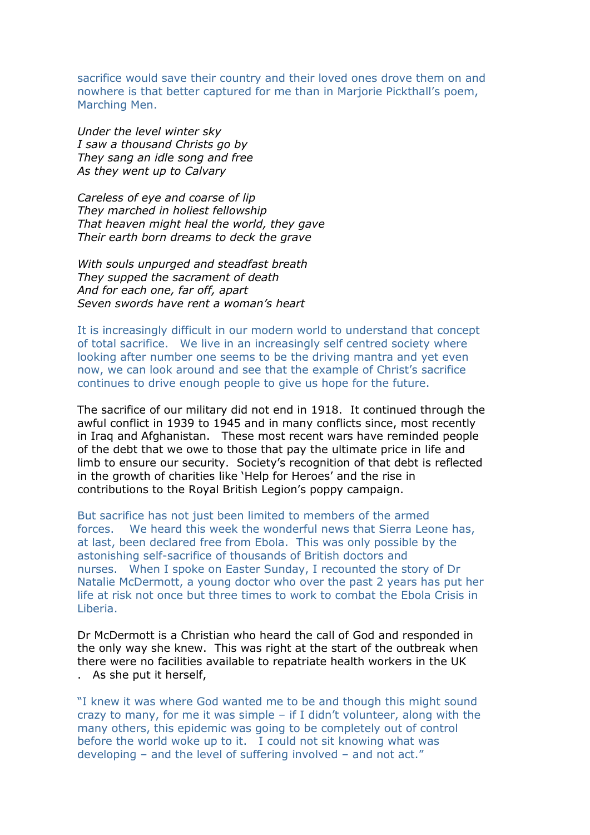sacrifice would save their country and their loved ones drove them on and nowhere is that better captured for me than in Marjorie Pickthall's poem, Marching Men.

*Under the level winter sky I saw a thousand Christs go by They sang an idle song and free As they went up to Calvary*

*Careless of eye and coarse of lip They marched in holiest fellowship That heaven might heal the world, they gave Their earth born dreams to deck the grave*

*With souls unpurged and steadfast breath They supped the sacrament of death And for each one, far off, apart Seven swords have rent a woman's heart*

It is increasingly difficult in our modern world to understand that concept of total sacrifice. We live in an increasingly self centred society where looking after number one seems to be the driving mantra and yet even now, we can look around and see that the example of Christ's sacrifice continues to drive enough people to give us hope for the future.

The sacrifice of our military did not end in 1918. It continued through the awful conflict in 1939 to 1945 and in many conflicts since, most recently in Iraq and Afghanistan. These most recent wars have reminded people of the debt that we owe to those that pay the ultimate price in life and limb to ensure our security. Society's recognition of that debt is reflected in the growth of charities like 'Help for Heroes' and the rise in contributions to the Royal British Legion's poppy campaign.

But sacrifice has not just been limited to members of the armed forces. We heard this week the wonderful news that Sierra Leone has, at last, been declared free from Ebola. This was only possible by the astonishing self-sacrifice of thousands of British doctors and nurses. When I spoke on Easter Sunday, I recounted the story of Dr Natalie McDermott, a young doctor who over the past 2 years has put her life at risk not once but three times to work to combat the Ebola Crisis in Liberia.

Dr McDermott is a Christian who heard the call of God and responded in the only way she knew. This was right at the start of the outbreak when there were no facilities available to repatriate health workers in the UK . As she put it herself,

"I knew it was where God wanted me to be and though this might sound crazy to many, for me it was simple – if I didn't volunteer, along with the many others, this epidemic was going to be completely out of control before the world woke up to it. I could not sit knowing what was developing – and the level of suffering involved – and not act."